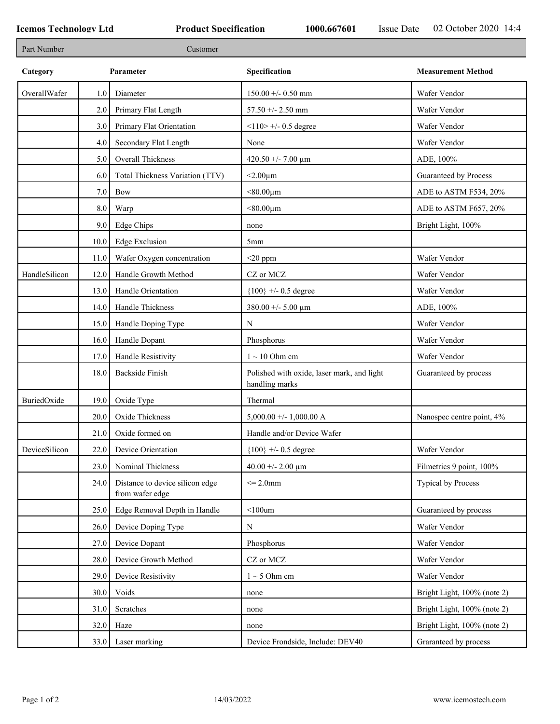F

| Part Number   |         | Customer                                           |                                                              |                             |
|---------------|---------|----------------------------------------------------|--------------------------------------------------------------|-----------------------------|
| Category      |         | Parameter                                          | Specification                                                | <b>Measurement Method</b>   |
| OverallWafer  | 1.0     | Diameter                                           | $150.00 +/- 0.50$ mm                                         | Wafer Vendor                |
|               | 2.0     | Primary Flat Length                                | $57.50 + - 2.50$ mm                                          | Wafer Vendor                |
|               | 3.0     | Primary Flat Orientation                           | $<110$ > +/- 0.5 degree                                      | Wafer Vendor                |
|               | 4.0     | Secondary Flat Length                              | None                                                         | Wafer Vendor                |
|               | 5.0     | Overall Thickness                                  | 420.50 +/- 7.00 $\mu$ m                                      | ADE, 100%                   |
|               | 6.0     | Total Thickness Variation (TTV)                    | $<$ 2.00 $\mu$ m                                             | Guaranteed by Process       |
|               | $7.0\,$ | <b>Bow</b>                                         | $< 80.00 \mu m$                                              | ADE to ASTM F534, 20%       |
|               | 8.0     | Warp                                               | $< 80.00 \mu m$                                              | ADE to ASTM F657, 20%       |
|               | 9.0     | Edge Chips                                         | none                                                         | Bright Light, 100%          |
|               | 10.0    | <b>Edge Exclusion</b>                              | 5mm                                                          |                             |
|               | 11.0    | Wafer Oxygen concentration                         | $<$ 20 ppm                                                   | Wafer Vendor                |
| HandleSilicon | 12.0    | Handle Growth Method                               | CZ or MCZ                                                    | Wafer Vendor                |
|               | 13.0    | Handle Orientation                                 | ${100}$ +/- 0.5 degree                                       | Wafer Vendor                |
|               | 14.0    | Handle Thickness                                   | $380.00 +/- 5.00 \mu m$                                      | ADE, 100%                   |
|               | 15.0    | Handle Doping Type                                 | N                                                            | Wafer Vendor                |
|               | 16.0    | Handle Dopant                                      | Phosphorus                                                   | Wafer Vendor                |
|               | 17.0    | Handle Resistivity                                 | $1 \sim 10$ Ohm cm                                           | Wafer Vendor                |
|               | 18.0    | <b>Backside Finish</b>                             | Polished with oxide, laser mark, and light<br>handling marks | Guaranteed by process       |
| BuriedOxide   | 19.0    | Oxide Type                                         | Thermal                                                      |                             |
|               | 20.0    | Oxide Thickness                                    | $5,000.00 +/- 1,000.00 A$                                    | Nanospec centre point, 4%   |
|               | 21.0    | Oxide formed on                                    | Handle and/or Device Wafer                                   |                             |
| DeviceSilicon |         | 22.0 Device Orientation                            | $\{100\}$ +/- 0.5 degree                                     | Wafer Vendor                |
|               | 23.0    | Nominal Thickness                                  | 40.00 +/- 2.00 $\mu$ m                                       | Filmetrics 9 point, 100%    |
|               | 24.0    | Distance to device silicon edge<br>from wafer edge | $\leq$ 2.0mm                                                 | <b>Typical by Process</b>   |
|               | 25.0    | Edge Removal Depth in Handle                       | $<$ 100 $um$                                                 | Guaranteed by process       |
|               | 26.0    | Device Doping Type                                 | N                                                            | Wafer Vendor                |
|               | 27.0    | Device Dopant                                      | Phosphorus                                                   | Wafer Vendor                |
|               | 28.0    | Device Growth Method                               | CZ or MCZ                                                    | Wafer Vendor                |
|               | 29.0    | Device Resistivity                                 | $1 \sim 5$ Ohm cm                                            | Wafer Vendor                |
|               | 30.0    | Voids                                              | none                                                         | Bright Light, 100% (note 2) |
|               | 31.0    | Scratches                                          | none                                                         | Bright Light, 100% (note 2) |
|               | 32.0    | Haze                                               | none                                                         | Bright Light, 100% (note 2) |
|               | 33.0    | Laser marking                                      | Device Frondside, Include: DEV40                             | Graranteed by process       |